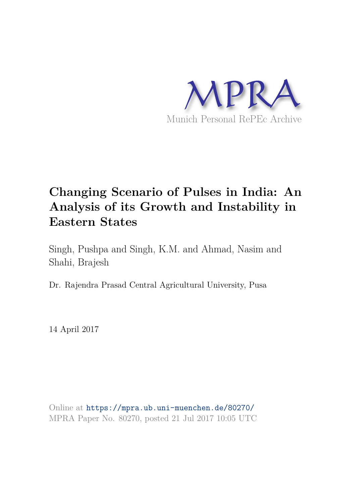

# **Changing Scenario of Pulses in India: An Analysis of its Growth and Instability in Eastern States**

Singh, Pushpa and Singh, K.M. and Ahmad, Nasim and Shahi, Brajesh

Dr. Rajendra Prasad Central Agricultural University, Pusa

14 April 2017

Online at https://mpra.ub.uni-muenchen.de/80270/ MPRA Paper No. 80270, posted 21 Jul 2017 10:05 UTC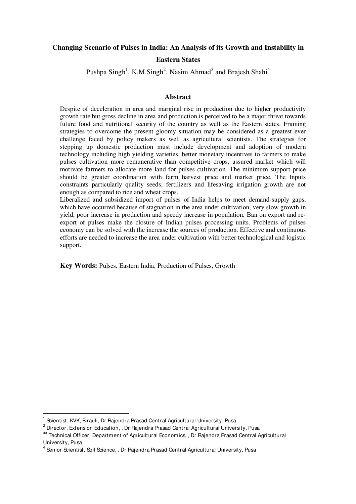#### **Changing Scenario of Pulses in India: An Analysis of its Growth and Instability in**

#### **Eastern States**

Pushpa Singh<sup>1</sup>, K.M.Singh<sup>2</sup>, Nasim Ahmad<sup>3</sup> and Brajesh Shahi<sup>4</sup>

#### **Abstract**

Despite of deceleration in area and marginal rise in production due to higher productivity growth rate but gross decline in area and production is perceived to be a major threat towards future food and nutritional security of the country as well as the Eastern states. Framing strategies to overcome the present gloomy situation may be considered as a greatest ever challenge faced by policy makers as well as agricultural scientists. The strategies for stepping up domestic production must include development and adoption of modern technology including high yielding varieties, better monetary incentives to farmers to make pulses cultivation more remunerative than competitive crops, assured market which will motivate farmers to allocate more land for pulses cultivation. The minimum support price should be greater coordination with farm harvest price and market price. The Inputs constraints particularly quality seeds, fertilizers and lifesaving irrigation growth are not enough as compared to rice and wheat crops.

Liberalized and subsidized import of pulses of India helps to meet demand-supply gaps, which have occurred because of stagnation in the area under cultivation, very slow growth in yield, poor increase in production and speedy increase in population. Ban on export and reexport of pulses make the closure of Indian pulses processing units. Problems of pulses economy can be solved with the increase the sources of production. Effective and continuous efforts are needed to increase the area under cultivation with better technological and logistic support.

**Key Words:** Pulses, Eastern India, Production of Pulses, Growth

-

<sup>1</sup> Scientist, KVK, Birauli, Dr Rajendra Prasad Central Agricultural University, Pusa

 $^{\rm 2}$  Director, Extension Education, , Dr Rajendra Prasad Central Agricultural University, Pusa

<sup>&</sup>lt;sup>33</sup> Technical Officer, Department of Agricultural Economics, , Dr Rajendra Prasad Central Agricultural University, Pusa

 $^4$  Senior Scientist, Soil Science, , Dr Rajendra Prasad Central Agricultural University, Pusa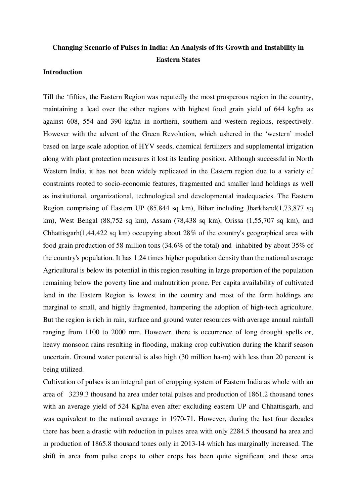# **Changing Scenario of Pulses in India: An Analysis of its Growth and Instability in Eastern States**

# **Introduction**

Till the 'fifties, the Eastern Region was reputedly the most prosperous region in the country, maintaining a lead over the other regions with highest food grain yield of 644 kg/ha as against 608, 554 and 390 kg/ha in northern, southern and western regions, respectively. However with the advent of the Green Revolution, which ushered in the 'western' model based on large scale adoption of HYV seeds, chemical fertilizers and supplemental irrigation along with plant protection measures it lost its leading position. Although successful in North Western India, it has not been widely replicated in the Eastern region due to a variety of constraints rooted to socio-economic features, fragmented and smaller land holdings as well as institutional, organizational, technological and developmental inadequacies. The Eastern Region comprising of Eastern UP (85,844 sq km), Bihar including Jharkhand(1,73,877 sq km), West Bengal (88,752 sq km), Assam (78,438 sq km), Orissa (1,55,707 sq km), and Chhattisgarh(1,44,422 sq km) occupying about 28% of the country's geographical area with food grain production of 58 million tons (34.6% of the total) and inhabited by about 35% of the country's population. It has 1.24 times higher population density than the national average Agricultural is below its potential in this region resulting in large proportion of the population remaining below the poverty line and malnutrition prone. Per capita availability of cultivated land in the Eastern Region is lowest in the country and most of the farm holdings are marginal to small, and highly fragmented, hampering the adoption of high-tech agriculture. But the region is rich in rain, surface and ground water resources with average annual rainfall ranging from 1100 to 2000 mm. However, there is occurrence of long drought spells or, heavy monsoon rains resulting in flooding, making crop cultivation during the kharif season uncertain. Ground water potential is also high (30 million ha-m) with less than 20 percent is being utilized.

Cultivation of pulses is an integral part of cropping system of Eastern India as whole with an area of 3239.3 thousand ha area under total pulses and production of 1861.2 thousand tones with an average yield of 524 Kg/ha even after excluding eastern UP and Chhattisgarh, and was equivalent to the national average in 1970-71. However, during the last four decades there has been a drastic with reduction in pulses area with only 2284.5 thousand ha area and in production of 1865.8 thousand tones only in 2013-14 which has marginally increased. The shift in area from pulse crops to other crops has been quite significant and these area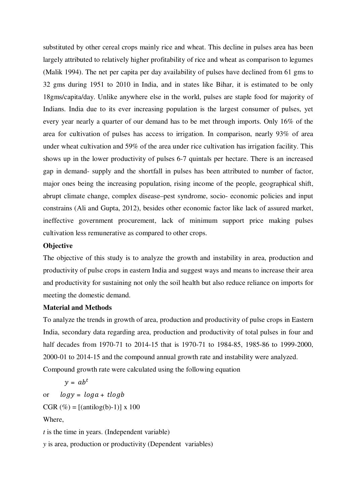substituted by other cereal crops mainly rice and wheat. This decline in pulses area has been largely attributed to relatively higher profitability of rice and wheat as comparison to legumes (Malik 1994). The net per capita per day availability of pulses have declined from 61 gms to 32 gms during 1951 to 2010 in India, and in states like Bihar, it is estimated to be only 18gms/capita/day. Unlike anywhere else in the world, pulses are staple food for majority of Indians. India due to its ever increasing population is the largest consumer of pulses, yet every year nearly a quarter of our demand has to be met through imports. Only 16% of the area for cultivation of pulses has access to irrigation. In comparison, nearly 93% of area under wheat cultivation and 59% of the area under rice cultivation has irrigation facility. This shows up in the lower productivity of pulses 6-7 quintals per hectare. There is an increased gap in demand- supply and the shortfall in pulses has been attributed to number of factor, major ones being the increasing population, rising income of the people, geographical shift, abrupt climate change, complex disease–pest syndrome, socio- economic policies and input constrains (Ali and Gupta, 2012), besides other economic factor like lack of assured market, ineffective government procurement, lack of minimum support price making pulses cultivation less remunerative as compared to other crops.

## **Objective**

The objective of this study is to analyze the growth and instability in area, production and productivity of pulse crops in eastern India and suggest ways and means to increase their area and productivity for sustaining not only the soil health but also reduce reliance on imports for meeting the domestic demand.

## **Material and Methods**

To analyze the trends in growth of area, production and productivity of pulse crops in Eastern India, secondary data regarding area, production and productivity of total pulses in four and half decades from 1970-71 to 2014-15 that is 1970-71 to 1984-85, 1985-86 to 1999-2000, 2000-01 to 2014-15 and the compound annual growth rate and instability were analyzed. Compound growth rate were calculated using the following equation

$$
y = abt
$$
  
or  $log y = log a + t log b$   
CGR ( $\%$ ) = [(antilog(b)-1)] x 100  
Where,  
*t* is the time in years. (Independent variable)  
*y* is area, production or productivity (Dependent variables)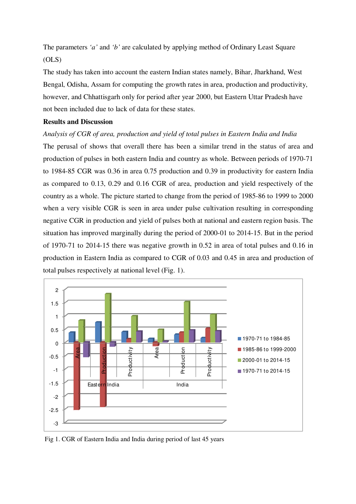The parameters *'a'* and *'b'* are calculated by applying method of Ordinary Least Square (OLS)

The study has taken into account the eastern Indian states namely, Bihar, Jharkhand, West Bengal, Odisha, Assam for computing the growth rates in area, production and productivity, however, and Chhattisgarh only for period after year 2000, but Eastern Uttar Pradesh have not been included due to lack of data for these states.

## **Results and Discussion**

#### *Analysis of CGR of area, production and yield of total pulses in Eastern India and India*

The perusal of shows that overall there has been a similar trend in the status of area and production of pulses in both eastern India and country as whole. Between periods of 1970-71 to 1984-85 CGR was 0.36 in area 0.75 production and 0.39 in productivity for eastern India as compared to 0.13, 0.29 and 0.16 CGR of area, production and yield respectively of the country as a whole. The picture started to change from the period of 1985-86 to 1999 to 2000 when a very visible CGR is seen in area under pulse cultivation resulting in corresponding negative CGR in production and yield of pulses both at national and eastern region basis. The situation has improved marginally during the period of 2000-01 to 2014-15. But in the period of 1970-71 to 2014-15 there was negative growth in 0.52 in area of total pulses and 0.16 in production in Eastern India as compared to CGR of 0.03 and 0.45 in area and production of total pulses respectively at national level (Fig. 1).



Fig 1. CGR of Eastern India and India during period of last 45 years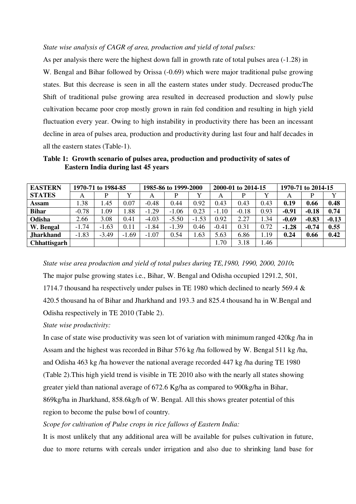#### *State wise analysis of CAGR of area, production and yield of total pulses:*

As per analysis there were the highest down fall in growth rate of total pulses area (-1.28) in W. Bengal and Bihar followed by Orissa (-0.69) which were major traditional pulse growing states. But this decrease is seen in all the eastern states under study. Decreased producThe Shift of traditional pulse growing area resulted in decreased production and slowly pulse cultivation became poor crop mostly grown in rain fed condition and resulting in high yield fluctuation every year. Owing to high instability in productivity there has been an incessant decline in area of pulses area, production and productivity during last four and half decades in all the eastern states (Table-1).

**Table 1: Growth scenario of pulses area, production and productivity of sates of Eastern India during last 45 years** 

| <b>EASTERN</b>      |         | 1970-71 to 1984-85 |         | 1985-86 to 1999-2000 |         |         | 2000-01 to 2014-15 |         |      | 1970-71 to 2014-15 |         |         |
|---------------------|---------|--------------------|---------|----------------------|---------|---------|--------------------|---------|------|--------------------|---------|---------|
| <b>STATES</b>       | А       | P                  |         | А                    |         | Y       | A                  |         |      | Α                  |         |         |
| <b>Assam</b>        | .38     | 1.45               | 0.07    | $-0.48$              | 0.44    | 0.92    | 0.43               | 0.43    | 0.43 | 0.19               | 0.66    | 0.48    |
| <b>Bihar</b>        | $-0.78$ | 1.09               | .88     | $-1.29$              | $-1.06$ | 0.23    | $-1.10$            | $-0.18$ | 0.93 | $-0.91$            | $-0.18$ | 0.74    |
| Odisha              | 2.66    | 3.08               | 0.41    | $-4.03$              | $-5.50$ | $-1.53$ | 0.92               | 2.27    | 1.34 | $-0.69$            | $-0.83$ | $-0.13$ |
| W. Bengal           | $-1.74$ | $-1.63$            | 0.11    | $-1.84$              | $-1.39$ | 0.46    | $-0.41$            | 0.31    | 0.72 | $-1.28$            | $-0.74$ | 0.55    |
| <b>Jharkhand</b>    | $-1.83$ | $-3.49$            | $-1.69$ | $-1.07$              | 0.54    | .63     | 5.63               | 6.86    | 1.19 | 0.24               | 0.66    | 0.42    |
| <b>Chhattisgarh</b> |         |                    |         |                      |         |         | 1.70               | 3.18    | 1.46 |                    |         |         |

*State wise area production and yield of total pulses during TE,1980, 1990, 2000, 2010***:** The major pulse growing states i.e., Bihar, W. Bengal and Odisha occupied 1291.2, 501, 1714.7 thousand ha respectively under pulses in TE 1980 which declined to nearly 569.4 & 420.5 thousand ha of Bihar and Jharkhand and 193.3 and 825.4 thousand ha in W.Bengal and Odisha respectively in TE 2010 (Table 2).

*State wise productivity:* 

In case of state wise productivity was seen lot of variation with minimum ranged 420kg /ha in Assam and the highest was recorded in Bihar 576 kg /ha followed by W. Bengal 511 kg /ha, and Odisha 463 kg /ha however the national average recorded 447 kg /ha during TE 1980 (Table 2).This high yield trend is visible in TE 2010 also with the nearly all states showing greater yield than national average of 672.6 Kg/ha as compared to 900kg/ha in Bihar, 869kg/ha in Jharkhand, 858.6kg/h of W. Bengal. All this shows greater potential of this region to become the pulse bowl of country.

## *Scope for cultivation of Pulse crops in rice fallows of Eastern India:*

It is most unlikely that any additional area will be available for pulses cultivation in future, due to more returns with cereals under irrigation and also due to shrinking land base for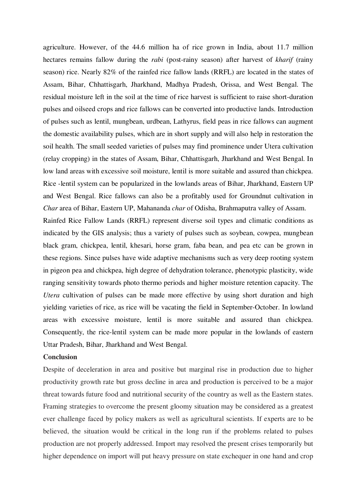agriculture. However, of the 44.6 million ha of rice grown in India, about 11.7 million hectares remains fallow during the *rabi* (post-rainy season) after harvest of *kharif* (rainy season) rice. Nearly 82% of the rainfed rice fallow lands (RRFL) are located in the states of Assam, Bihar, Chhattisgarh, Jharkhand, Madhya Pradesh, Orissa, and West Bengal. The residual moisture left in the soil at the time of rice harvest is sufficient to raise short-duration pulses and oilseed crops and rice fallows can be converted into productive lands. Introduction of pulses such as lentil, mungbean, urdbean, Lathyrus, field peas in rice fallows can augment the domestic availability pulses, which are in short supply and will also help in restoration the soil health. The small seeded varieties of pulses may find prominence under Utera cultivation (relay cropping) in the states of Assam, Bihar, Chhattisgarh, Jharkhand and West Bengal. In low land areas with excessive soil moisture, lentil is more suitable and assured than chickpea. Rice -lentil system can be popularized in the lowlands areas of Bihar, Jharkhand, Eastern UP and West Bengal. Rice fallows can also be a profitably used for Groundnut cultivation in *Char* area of Bihar, Eastern UP, Mahananda *char* of Odisha, Brahmaputra valley of Assam.

Rainfed Rice Fallow Lands (RRFL) represent diverse soil types and climatic conditions as indicated by the GIS analysis; thus a variety of pulses such as soybean, cowpea, mungbean black gram, chickpea, lentil, khesari, horse gram, faba bean, and pea etc can be grown in these regions. Since pulses have wide adaptive mechanisms such as very deep rooting system in pigeon pea and chickpea, high degree of dehydration tolerance, phenotypic plasticity, wide ranging sensitivity towards photo thermo periods and higher moisture retention capacity. The *Utera* cultivation of pulses can be made more effective by using short duration and high yielding varieties of rice, as rice will be vacating the field in September-October. In lowland areas with excessive moisture, lentil is more suitable and assured than chickpea. Consequently, the rice-lentil system can be made more popular in the lowlands of eastern Uttar Pradesh, Bihar, Jharkhand and West Bengal.

### **Conclusion**

Despite of deceleration in area and positive but marginal rise in production due to higher productivity growth rate but gross decline in area and production is perceived to be a major threat towards future food and nutritional security of the country as well as the Eastern states. Framing strategies to overcome the present gloomy situation may be considered as a greatest ever challenge faced by policy makers as well as agricultural scientists. If experts are to be believed, the situation would be critical in the long run if the problems related to pulses production are not properly addressed. Import may resolved the present crises temporarily but higher dependence on import will put heavy pressure on state exchequer in one hand and crop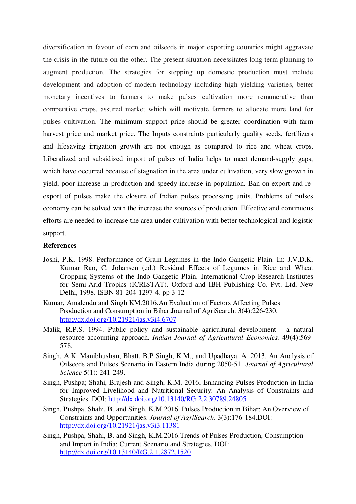diversification in favour of corn and oilseeds in major exporting countries might aggravate the crisis in the future on the other. The present situation necessitates long term planning to augment production. The strategies for stepping up domestic production must include development and adoption of modern technology including high yielding varieties, better monetary incentives to farmers to make pulses cultivation more remunerative than competitive crops, assured market which will motivate farmers to allocate more land for pulses cultivation. The minimum support price should be greater coordination with farm harvest price and market price. The Inputs constraints particularly quality seeds, fertilizers and lifesaving irrigation growth are not enough as compared to rice and wheat crops. Liberalized and subsidized import of pulses of India helps to meet demand-supply gaps, which have occurred because of stagnation in the area under cultivation, very slow growth in yield, poor increase in production and speedy increase in population. Ban on export and reexport of pulses make the closure of Indian pulses processing units. Problems of pulses economy can be solved with the increase the sources of production. Effective and continuous efforts are needed to increase the area under cultivation with better technological and logistic support.

#### **References**

- Joshi, P.K. 1998. Performance of Grain Legumes in the Indo-Gangetic Plain. In: J.V.D.K. Kumar Rao, C. Johansen (ed.) Residual Effects of Legumes in Rice and Wheat Cropping Systems of the Indo-Gangetic Plain. International Crop Research Institutes for Semi-Arid Tropics (ICRISTAT). Oxford and IBH Publishing Co. Pvt. Ltd, New Delhi, 1998. ISBN 81-204-1297-4. pp 3-12
- Kumar, Amalendu and Singh KM.2016.An Evaluation of Factors Affecting Pulses Production and Consumption in Bihar.Journal of AgriSearch. 3(4):226-230. http://dx.doi.org/10.21921/jas.v3i4.6707
- Malik, R.P.S. 1994. Public policy and sustainable agricultural development a natural resource accounting approach. *Indian Journal of Agricultural Economics.* 49(4):569- 578.
- Singh, A.K, Manibhushan, Bhatt, B.P Singh, K.M., and Upadhaya, A. 2013. An Analysis of Oilseeds and Pulses Scenario in Eastern India during 2050-51. *Journal of Agricultural Science* 5(1): 241-249.
- Singh, Pushpa; Shahi, Brajesh and Singh, K.M. 2016. Enhancing Pulses Production in India for Improved Livelihood and Nutritional Security: An Analysis of Constraints and Strategies*.* DOI: http://dx.doi.org/10.13140/RG.2.2.30789.24805
- Singh, Pushpa, Shahi, B. and Singh, K.M.2016. Pulses Production in Bihar: An Overview of Constraints and Opportunities. *Journal of AgriSearch*. 3(3):176-184.DOI: http://dx.doi.org/10.21921/jas.v3i3.11381
- Singh, Pushpa, Shahi, B. and Singh, K.M.2016.Trends of Pulses Production, Consumption and Import in India: Current Scenario and Strategies. DOI: http://dx.doi.org/10.13140/RG.2.1.2872.1520